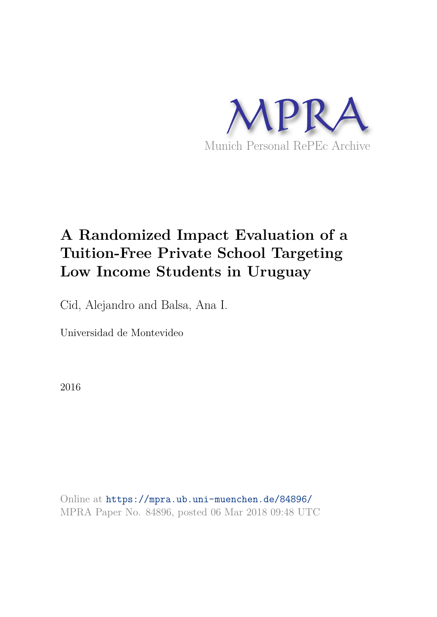

# **A Randomized Impact Evaluation of a Tuition-Free Private School Targeting Low Income Students in Uruguay**

Cid, Alejandro and Balsa, Ana I.

Universidad de Montevideo

2016

Online at https://mpra.ub.uni-muenchen.de/84896/ MPRA Paper No. 84896, posted 06 Mar 2018 09:48 UTC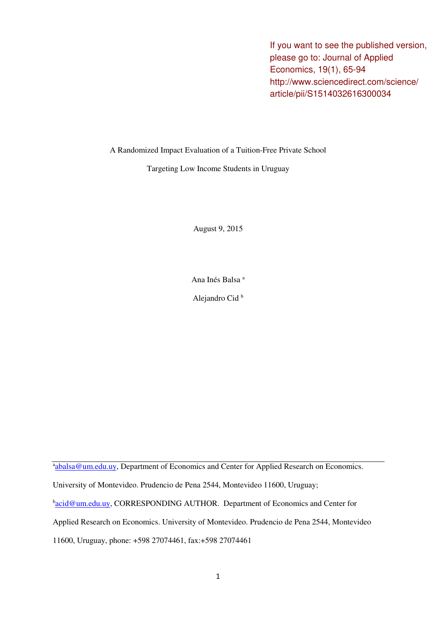If you want to see the published version, please go to: Journal of Applied Economics, 19(1), 65-94 http://www.sciencedirect.com/science/ article/pii/S1514032616300034

A Randomized Impact Evaluation of a Tuition-Free Private School

Targeting Low Income Students in Uruguay

August 9, 2015

Ana Inés Balsa <sup>a</sup>

Alejandro Cid<sup>b</sup>

abalsa@um.edu.uy, Department of Economics and Center for Applied Research on Economics. University of Montevideo. Prudencio de Pena 2544, Montevideo 11600, Uruguay; **b**<sub>acid</sub>@um.edu.uy, CORRESPONDING AUTHOR. Department of Economics and Center for Applied Research on Economics. University of Montevideo. Prudencio de Pena 2544, Montevideo 11600, Uruguay, phone: +598 27074461, fax:+598 27074461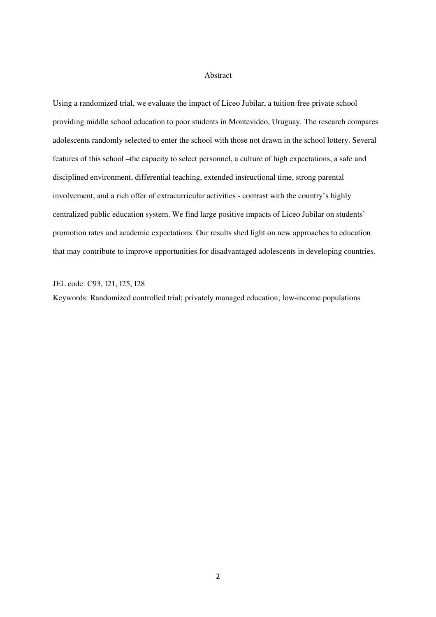#### Abstract

Using a randomized trial, we evaluate the impact of Liceo Jubilar, a tuition-free private school providing middle school education to poor students in Montevideo, Uruguay. The research compares adolescents randomly selected to enter the school with those not drawn in the school lottery. Several features of this school –the capacity to select personnel, a culture of high expectations, a safe and disciplined environment, differential teaching, extended instructional time, strong parental involvement, and a rich offer of extracurricular activities - contrast with the country's highly centralized public education system. We find large positive impacts of Liceo Jubilar on students' promotion rates and academic expectations. Our results shed light on new approaches to education that may contribute to improve opportunities for disadvantaged adolescents in developing countries.

JEL code: C93, I21, I25, I28

Keywords: Randomized controlled trial; privately managed education; low-income populations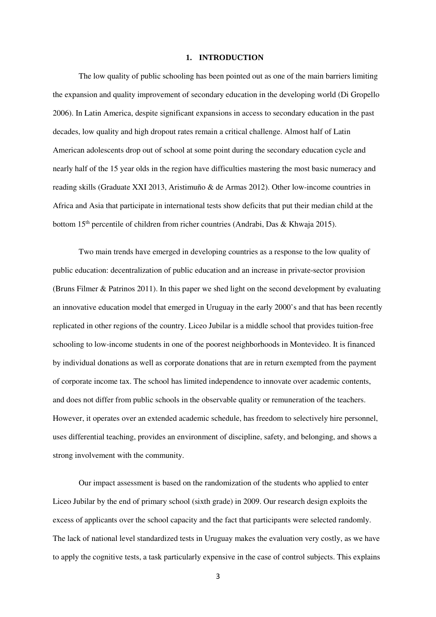#### **1. INTRODUCTION**

The low quality of public schooling has been pointed out as one of the main barriers limiting the expansion and quality improvement of secondary education in the developing world (Di Gropello 2006). In Latin America, despite significant expansions in access to secondary education in the past decades, low quality and high dropout rates remain a critical challenge. Almost half of Latin American adolescents drop out of school at some point during the secondary education cycle and nearly half of the 15 year olds in the region have difficulties mastering the most basic numeracy and reading skills (Graduate XXI 2013, Aristimuño & de Armas 2012). Other low-income countries in Africa and Asia that participate in international tests show deficits that put their median child at the bottom 15th percentile of children from richer countries (Andrabi, Das & Khwaja 2015).

Two main trends have emerged in developing countries as a response to the low quality of public education: decentralization of public education and an increase in private-sector provision (Bruns Filmer & Patrinos 2011). In this paper we shed light on the second development by evaluating an innovative education model that emerged in Uruguay in the early 2000's and that has been recently replicated in other regions of the country. Liceo Jubilar is a middle school that provides tuition-free schooling to low-income students in one of the poorest neighborhoods in Montevideo. It is financed by individual donations as well as corporate donations that are in return exempted from the payment of corporate income tax. The school has limited independence to innovate over academic contents, and does not differ from public schools in the observable quality or remuneration of the teachers. However, it operates over an extended academic schedule, has freedom to selectively hire personnel, uses differential teaching, provides an environment of discipline, safety, and belonging, and shows a strong involvement with the community.

Our impact assessment is based on the randomization of the students who applied to enter Liceo Jubilar by the end of primary school (sixth grade) in 2009. Our research design exploits the excess of applicants over the school capacity and the fact that participants were selected randomly. The lack of national level standardized tests in Uruguay makes the evaluation very costly, as we have to apply the cognitive tests, a task particularly expensive in the case of control subjects. This explains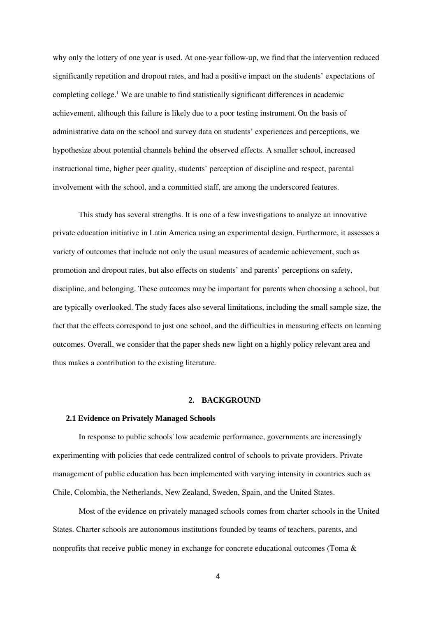why only the lottery of one year is used. At one-year follow-up, we find that the intervention reduced significantly repetition and dropout rates, and had a positive impact on the students' expectations of completing college.<sup>1</sup> We are unable to find statistically significant differences in academic achievement, although this failure is likely due to a poor testing instrument. On the basis of administrative data on the school and survey data on students' experiences and perceptions, we hypothesize about potential channels behind the observed effects. A smaller school, increased instructional time, higher peer quality, students' perception of discipline and respect, parental involvement with the school, and a committed staff, are among the underscored features.

This study has several strengths. It is one of a few investigations to analyze an innovative private education initiative in Latin America using an experimental design. Furthermore, it assesses a variety of outcomes that include not only the usual measures of academic achievement, such as promotion and dropout rates, but also effects on students' and parents' perceptions on safety, discipline, and belonging. These outcomes may be important for parents when choosing a school, but are typically overlooked. The study faces also several limitations, including the small sample size, the fact that the effects correspond to just one school, and the difficulties in measuring effects on learning outcomes. Overall, we consider that the paper sheds new light on a highly policy relevant area and thus makes a contribution to the existing literature.

#### **2. BACKGROUND**

# **2.1 Evidence on Privately Managed Schools**

In response to public schools' low academic performance, governments are increasingly experimenting with policies that cede centralized control of schools to private providers. Private management of public education has been implemented with varying intensity in countries such as Chile, Colombia, the Netherlands, New Zealand, Sweden, Spain, and the United States.

Most of the evidence on privately managed schools comes from charter schools in the United States. Charter schools are autonomous institutions founded by teams of teachers, parents, and nonprofits that receive public money in exchange for concrete educational outcomes (Toma &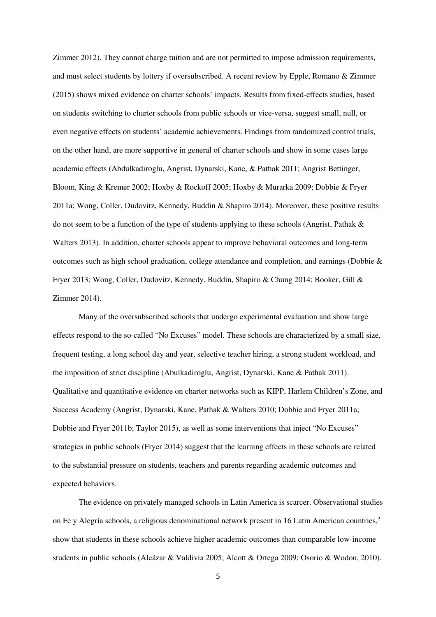Zimmer 2012). They cannot charge tuition and are not permitted to impose admission requirements, and must select students by lottery if oversubscribed. A recent review by Epple, Romano & Zimmer (2015) shows mixed evidence on charter schools' impacts. Results from fixed-effects studies, based on students switching to charter schools from public schools or vice-versa, suggest small, null, or even negative effects on students' academic achievements. Findings from randomized control trials, on the other hand, are more supportive in general of charter schools and show in some cases large academic effects (Abdulkadiroglu, Angrist, Dynarski, Kane, & Pathak 2011; Angrist Bettinger, Bloom, King & Kremer 2002; Hoxby & Rockoff 2005; Hoxby & Murarka 2009; Dobbie & Fryer 2011a; Wong, Coller, Dudovitz, Kennedy, Buddin & Shapiro 2014). Moreover, these positive results do not seem to be a function of the type of students applying to these schools (Angrist, Pathak & Walters 2013). In addition, charter schools appear to improve behavioral outcomes and long-term outcomes such as high school graduation, college attendance and completion, and earnings (Dobbie & Fryer 2013; Wong, Coller, Dudovitz, Kennedy, Buddin, Shapiro & Chung 2014; Booker, Gill & Zimmer 2014).

Many of the oversubscribed schools that undergo experimental evaluation and show large effects respond to the so-called "No Excuses" model. These schools are characterized by a small size, frequent testing, a long school day and year, selective teacher hiring, a strong student workload, and the imposition of strict discipline (Abulkadiroglu, Angrist, Dynarski, Kane & Pathak 2011). Qualitative and quantitative evidence on charter networks such as KIPP, Harlem Children's Zone, and Success Academy (Angrist, Dynarski, Kane, Pathak & Walters 2010; Dobbie and Fryer 2011a; Dobbie and Fryer 2011b; Taylor 2015), as well as some interventions that inject "No Excuses" strategies in public schools (Fryer 2014) suggest that the learning effects in these schools are related to the substantial pressure on students, teachers and parents regarding academic outcomes and expected behaviors.

The evidence on privately managed schools in Latin America is scarcer. Observational studies on Fe y Alegría schools, a religious denominational network present in 16 Latin American countries,<sup>2</sup> show that students in these schools achieve higher academic outcomes than comparable low-income students in public schools (Alcázar & Valdivia 2005; Alcott & Ortega 2009; Osorio & Wodon, 2010).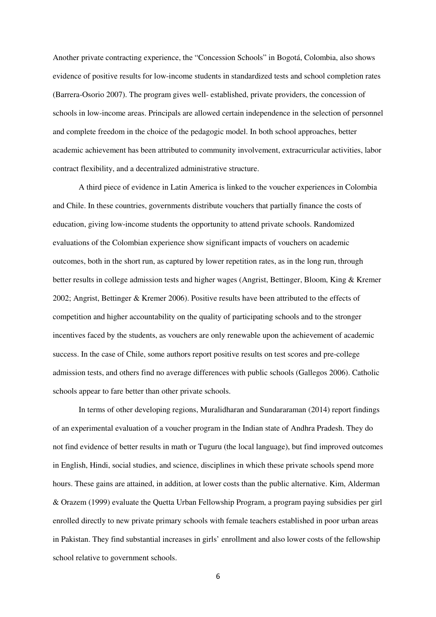Another private contracting experience, the "Concession Schools" in Bogotá, Colombia, also shows evidence of positive results for low-income students in standardized tests and school completion rates (Barrera-Osorio 2007). The program gives well- established, private providers, the concession of schools in low-income areas. Principals are allowed certain independence in the selection of personnel and complete freedom in the choice of the pedagogic model. In both school approaches, better academic achievement has been attributed to community involvement, extracurricular activities, labor contract flexibility, and a decentralized administrative structure.

A third piece of evidence in Latin America is linked to the voucher experiences in Colombia and Chile. In these countries, governments distribute vouchers that partially finance the costs of education, giving low-income students the opportunity to attend private schools. Randomized evaluations of the Colombian experience show significant impacts of vouchers on academic outcomes, both in the short run, as captured by lower repetition rates, as in the long run, through better results in college admission tests and higher wages (Angrist, Bettinger, Bloom, King & Kremer 2002; Angrist, Bettinger & Kremer 2006). Positive results have been attributed to the effects of competition and higher accountability on the quality of participating schools and to the stronger incentives faced by the students, as vouchers are only renewable upon the achievement of academic success. In the case of Chile, some authors report positive results on test scores and pre-college admission tests, and others find no average differences with public schools (Gallegos 2006). Catholic schools appear to fare better than other private schools.

In terms of other developing regions, Muralidharan and Sundararaman (2014) report findings of an experimental evaluation of a voucher program in the Indian state of Andhra Pradesh. They do not find evidence of better results in math or Tuguru (the local language), but find improved outcomes in English, Hindi, social studies, and science, disciplines in which these private schools spend more hours. These gains are attained, in addition, at lower costs than the public alternative. Kim, Alderman & Orazem (1999) evaluate the Quetta Urban Fellowship Program, a program paying subsidies per girl enrolled directly to new private primary schools with female teachers established in poor urban areas in Pakistan. They find substantial increases in girls' enrollment and also lower costs of the fellowship school relative to government schools.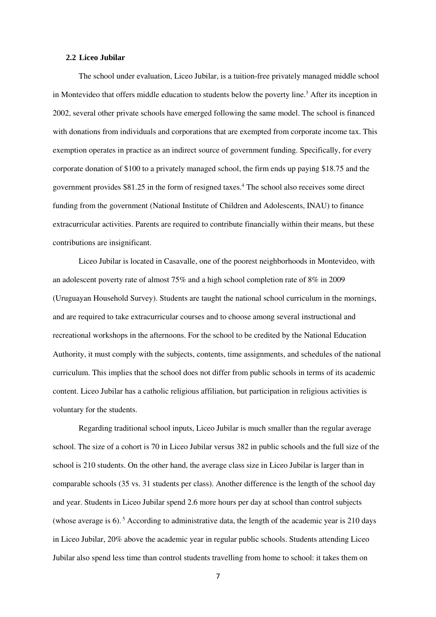#### **2.2 Liceo Jubilar**

The school under evaluation, Liceo Jubilar, is a tuition-free privately managed middle school in Montevideo that offers middle education to students below the poverty line.<sup>3</sup> After its inception in 2002, several other private schools have emerged following the same model. The school is financed with donations from individuals and corporations that are exempted from corporate income tax. This exemption operates in practice as an indirect source of government funding. Specifically, for every corporate donation of \$100 to a privately managed school, the firm ends up paying \$18.75 and the government provides \$81.25 in the form of resigned taxes.<sup>4</sup> The school also receives some direct funding from the government (National Institute of Children and Adolescents, INAU) to finance extracurricular activities. Parents are required to contribute financially within their means, but these contributions are insignificant.

Liceo Jubilar is located in Casavalle, one of the poorest neighborhoods in Montevideo, with an adolescent poverty rate of almost 75% and a high school completion rate of 8% in 2009 (Uruguayan Household Survey). Students are taught the national school curriculum in the mornings, and are required to take extracurricular courses and to choose among several instructional and recreational workshops in the afternoons. For the school to be credited by the National Education Authority, it must comply with the subjects, contents, time assignments, and schedules of the national curriculum. This implies that the school does not differ from public schools in terms of its academic content. Liceo Jubilar has a catholic religious affiliation, but participation in religious activities is voluntary for the students.

Regarding traditional school inputs, Liceo Jubilar is much smaller than the regular average school. The size of a cohort is 70 in Liceo Jubilar versus 382 in public schools and the full size of the school is 210 students. On the other hand, the average class size in Liceo Jubilar is larger than in comparable schools (35 vs. 31 students per class). Another difference is the length of the school day and year. Students in Liceo Jubilar spend 2.6 more hours per day at school than control subjects (whose average is 6).<sup>5</sup> According to administrative data, the length of the academic year is 210 days in Liceo Jubilar, 20% above the academic year in regular public schools. Students attending Liceo Jubilar also spend less time than control students travelling from home to school: it takes them on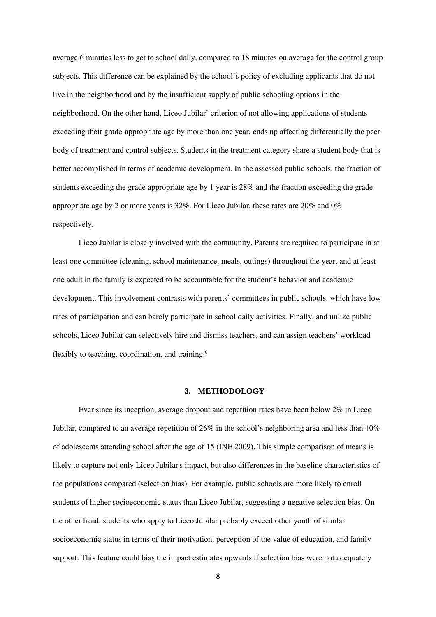average 6 minutes less to get to school daily, compared to 18 minutes on average for the control group subjects. This difference can be explained by the school's policy of excluding applicants that do not live in the neighborhood and by the insufficient supply of public schooling options in the neighborhood. On the other hand, Liceo Jubilar' criterion of not allowing applications of students exceeding their grade-appropriate age by more than one year, ends up affecting differentially the peer body of treatment and control subjects. Students in the treatment category share a student body that is better accomplished in terms of academic development. In the assessed public schools, the fraction of students exceeding the grade appropriate age by 1 year is 28% and the fraction exceeding the grade appropriate age by 2 or more years is 32%. For Liceo Jubilar, these rates are 20% and 0% respectively.

Liceo Jubilar is closely involved with the community. Parents are required to participate in at least one committee (cleaning, school maintenance, meals, outings) throughout the year, and at least one adult in the family is expected to be accountable for the student's behavior and academic development. This involvement contrasts with parents' committees in public schools, which have low rates of participation and can barely participate in school daily activities. Finally, and unlike public schools, Liceo Jubilar can selectively hire and dismiss teachers, and can assign teachers' workload flexibly to teaching, coordination, and training.<sup>6</sup>

#### **3. METHODOLOGY**

Ever since its inception, average dropout and repetition rates have been below 2% in Liceo Jubilar, compared to an average repetition of 26% in the school's neighboring area and less than 40% of adolescents attending school after the age of 15 (INE 2009). This simple comparison of means is likely to capture not only Liceo Jubilar's impact, but also differences in the baseline characteristics of the populations compared (selection bias). For example, public schools are more likely to enroll students of higher socioeconomic status than Liceo Jubilar, suggesting a negative selection bias. On the other hand, students who apply to Liceo Jubilar probably exceed other youth of similar socioeconomic status in terms of their motivation, perception of the value of education, and family support. This feature could bias the impact estimates upwards if selection bias were not adequately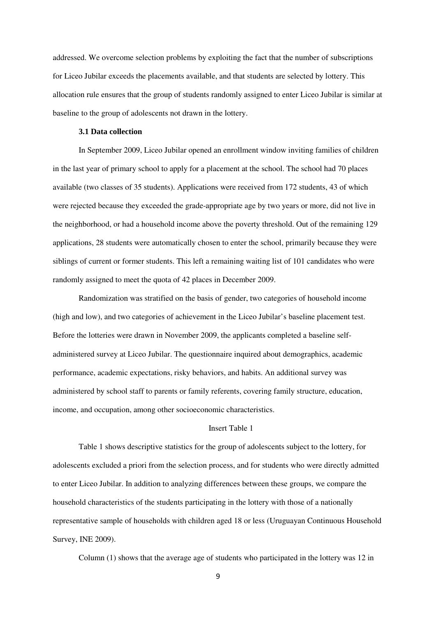addressed. We overcome selection problems by exploiting the fact that the number of subscriptions for Liceo Jubilar exceeds the placements available, and that students are selected by lottery. This allocation rule ensures that the group of students randomly assigned to enter Liceo Jubilar is similar at baseline to the group of adolescents not drawn in the lottery.

#### **3.1 Data collection**

In September 2009, Liceo Jubilar opened an enrollment window inviting families of children in the last year of primary school to apply for a placement at the school. The school had 70 places available (two classes of 35 students). Applications were received from 172 students, 43 of which were rejected because they exceeded the grade-appropriate age by two years or more, did not live in the neighborhood, or had a household income above the poverty threshold. Out of the remaining 129 applications, 28 students were automatically chosen to enter the school, primarily because they were siblings of current or former students. This left a remaining waiting list of 101 candidates who were randomly assigned to meet the quota of 42 places in December 2009.

Randomization was stratified on the basis of gender, two categories of household income (high and low), and two categories of achievement in the Liceo Jubilar's baseline placement test. Before the lotteries were drawn in November 2009, the applicants completed a baseline selfadministered survey at Liceo Jubilar. The questionnaire inquired about demographics, academic performance, academic expectations, risky behaviors, and habits. An additional survey was administered by school staff to parents or family referents, covering family structure, education, income, and occupation, among other socioeconomic characteristics.

#### Insert Table 1

Table 1 shows descriptive statistics for the group of adolescents subject to the lottery, for adolescents excluded a priori from the selection process, and for students who were directly admitted to enter Liceo Jubilar. In addition to analyzing differences between these groups, we compare the household characteristics of the students participating in the lottery with those of a nationally representative sample of households with children aged 18 or less (Uruguayan Continuous Household Survey, INE 2009).

Column (1) shows that the average age of students who participated in the lottery was 12 in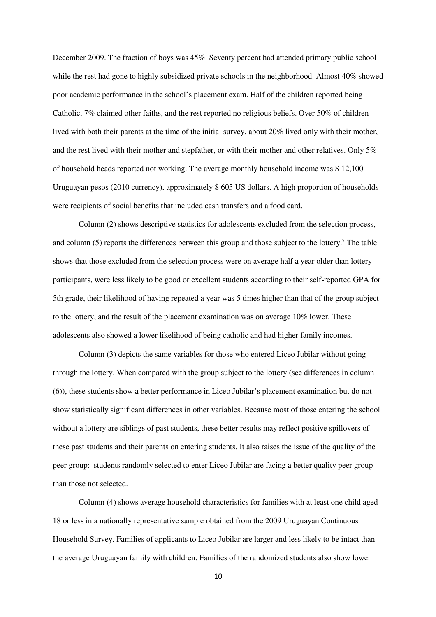December 2009. The fraction of boys was 45%. Seventy percent had attended primary public school while the rest had gone to highly subsidized private schools in the neighborhood. Almost 40% showed poor academic performance in the school's placement exam. Half of the children reported being Catholic, 7% claimed other faiths, and the rest reported no religious beliefs. Over 50% of children lived with both their parents at the time of the initial survey, about 20% lived only with their mother, and the rest lived with their mother and stepfather, or with their mother and other relatives. Only 5% of household heads reported not working. The average monthly household income was \$ 12,100 Uruguayan pesos (2010 currency), approximately \$ 605 US dollars. A high proportion of households were recipients of social benefits that included cash transfers and a food card.

Column (2) shows descriptive statistics for adolescents excluded from the selection process, and column (5) reports the differences between this group and those subject to the lottery.<sup>7</sup> The table shows that those excluded from the selection process were on average half a year older than lottery participants, were less likely to be good or excellent students according to their self-reported GPA for 5th grade, their likelihood of having repeated a year was 5 times higher than that of the group subject to the lottery, and the result of the placement examination was on average 10% lower. These adolescents also showed a lower likelihood of being catholic and had higher family incomes.

Column (3) depicts the same variables for those who entered Liceo Jubilar without going through the lottery. When compared with the group subject to the lottery (see differences in column (6)), these students show a better performance in Liceo Jubilar's placement examination but do not show statistically significant differences in other variables. Because most of those entering the school without a lottery are siblings of past students, these better results may reflect positive spillovers of these past students and their parents on entering students. It also raises the issue of the quality of the peer group: students randomly selected to enter Liceo Jubilar are facing a better quality peer group than those not selected.

Column (4) shows average household characteristics for families with at least one child aged 18 or less in a nationally representative sample obtained from the 2009 Uruguayan Continuous Household Survey. Families of applicants to Liceo Jubilar are larger and less likely to be intact than the average Uruguayan family with children. Families of the randomized students also show lower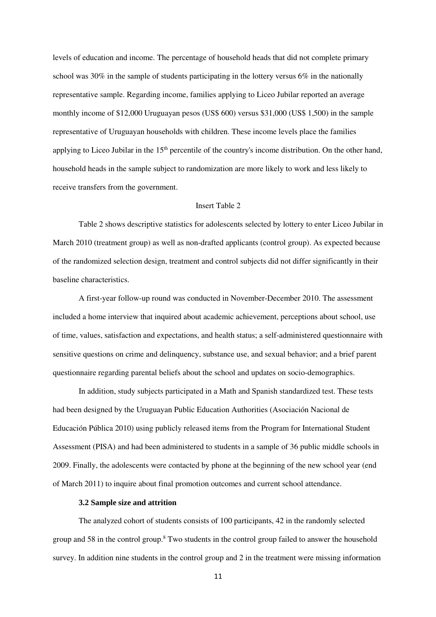levels of education and income. The percentage of household heads that did not complete primary school was 30% in the sample of students participating in the lottery versus 6% in the nationally representative sample. Regarding income, families applying to Liceo Jubilar reported an average monthly income of \$12,000 Uruguayan pesos (US\$ 600) versus \$31,000 (US\$ 1,500) in the sample representative of Uruguayan households with children. These income levels place the families applying to Liceo Jubilar in the  $15<sup>th</sup>$  percentile of the country's income distribution. On the other hand, household heads in the sample subject to randomization are more likely to work and less likely to receive transfers from the government.

# Insert Table 2

 Table 2 shows descriptive statistics for adolescents selected by lottery to enter Liceo Jubilar in March 2010 (treatment group) as well as non-drafted applicants (control group). As expected because of the randomized selection design, treatment and control subjects did not differ significantly in their baseline characteristics.

 A first-year follow-up round was conducted in November-December 2010. The assessment included a home interview that inquired about academic achievement, perceptions about school, use of time, values, satisfaction and expectations, and health status; a self-administered questionnaire with sensitive questions on crime and delinquency, substance use, and sexual behavior; and a brief parent questionnaire regarding parental beliefs about the school and updates on socio-demographics.

In addition, study subjects participated in a Math and Spanish standardized test. These tests had been designed by the Uruguayan Public Education Authorities (Asociación Nacional de Educación Pública 2010) using publicly released items from the Program for International Student Assessment (PISA) and had been administered to students in a sample of 36 public middle schools in 2009. Finally, the adolescents were contacted by phone at the beginning of the new school year (end of March 2011) to inquire about final promotion outcomes and current school attendance.

#### **3.2 Sample size and attrition**

The analyzed cohort of students consists of 100 participants, 42 in the randomly selected group and 58 in the control group.<sup>8</sup> Two students in the control group failed to answer the household survey. In addition nine students in the control group and 2 in the treatment were missing information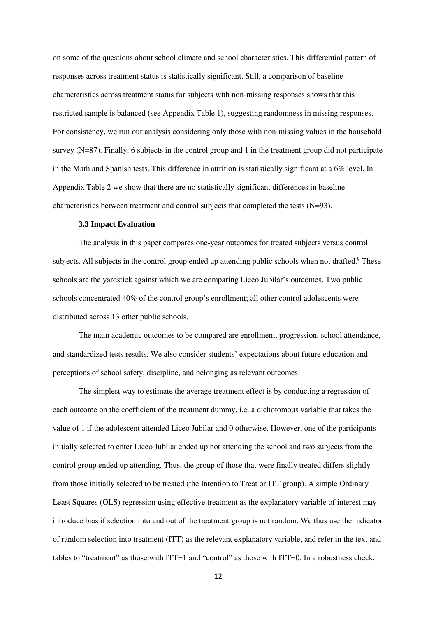on some of the questions about school climate and school characteristics. This differential pattern of responses across treatment status is statistically significant. Still, a comparison of baseline characteristics across treatment status for subjects with non-missing responses shows that this restricted sample is balanced (see Appendix Table 1), suggesting randomness in missing responses. For consistency, we run our analysis considering only those with non-missing values in the household survey (N=87). Finally, 6 subjects in the control group and 1 in the treatment group did not participate in the Math and Spanish tests. This difference in attrition is statistically significant at a 6% level. In Appendix Table 2 we show that there are no statistically significant differences in baseline characteristics between treatment and control subjects that completed the tests  $(N=93)$ .

#### **3.3 Impact Evaluation**

The analysis in this paper compares one-year outcomes for treated subjects versus control subjects. All subjects in the control group ended up attending public schools when not drafted.<sup>9</sup> These schools are the yardstick against which we are comparing Liceo Jubilar's outcomes. Two public schools concentrated 40% of the control group's enrollment; all other control adolescents were distributed across 13 other public schools.

The main academic outcomes to be compared are enrollment, progression, school attendance, and standardized tests results. We also consider students' expectations about future education and perceptions of school safety, discipline, and belonging as relevant outcomes.

The simplest way to estimate the average treatment effect is by conducting a regression of each outcome on the coefficient of the treatment dummy, i.e. a dichotomous variable that takes the value of 1 if the adolescent attended Liceo Jubilar and 0 otherwise. However, one of the participants initially selected to enter Liceo Jubilar ended up not attending the school and two subjects from the control group ended up attending. Thus, the group of those that were finally treated differs slightly from those initially selected to be treated (the Intention to Treat or ITT group). A simple Ordinary Least Squares (OLS) regression using effective treatment as the explanatory variable of interest may introduce bias if selection into and out of the treatment group is not random. We thus use the indicator of random selection into treatment (ITT) as the relevant explanatory variable, and refer in the text and tables to "treatment" as those with ITT=1 and "control" as those with ITT=0. In a robustness check,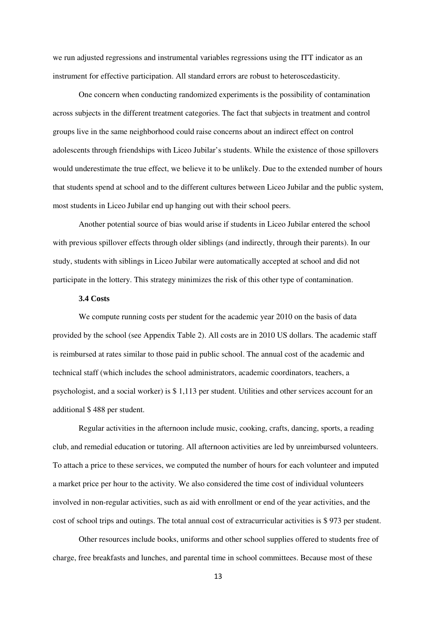we run adjusted regressions and instrumental variables regressions using the ITT indicator as an instrument for effective participation. All standard errors are robust to heteroscedasticity.

One concern when conducting randomized experiments is the possibility of contamination across subjects in the different treatment categories. The fact that subjects in treatment and control groups live in the same neighborhood could raise concerns about an indirect effect on control adolescents through friendships with Liceo Jubilar's students. While the existence of those spillovers would underestimate the true effect, we believe it to be unlikely. Due to the extended number of hours that students spend at school and to the different cultures between Liceo Jubilar and the public system, most students in Liceo Jubilar end up hanging out with their school peers.

Another potential source of bias would arise if students in Liceo Jubilar entered the school with previous spillover effects through older siblings (and indirectly, through their parents). In our study, students with siblings in Liceo Jubilar were automatically accepted at school and did not participate in the lottery. This strategy minimizes the risk of this other type of contamination.

#### **3.4 Costs**

We compute running costs per student for the academic year 2010 on the basis of data provided by the school (see Appendix Table 2). All costs are in 2010 US dollars. The academic staff is reimbursed at rates similar to those paid in public school. The annual cost of the academic and technical staff (which includes the school administrators, academic coordinators, teachers, a psychologist, and a social worker) is \$ 1,113 per student. Utilities and other services account for an additional \$ 488 per student.

Regular activities in the afternoon include music, cooking, crafts, dancing, sports, a reading club, and remedial education or tutoring. All afternoon activities are led by unreimbursed volunteers. To attach a price to these services, we computed the number of hours for each volunteer and imputed a market price per hour to the activity. We also considered the time cost of individual volunteers involved in non-regular activities, such as aid with enrollment or end of the year activities, and the cost of school trips and outings. The total annual cost of extracurricular activities is \$ 973 per student.

Other resources include books, uniforms and other school supplies offered to students free of charge, free breakfasts and lunches, and parental time in school committees. Because most of these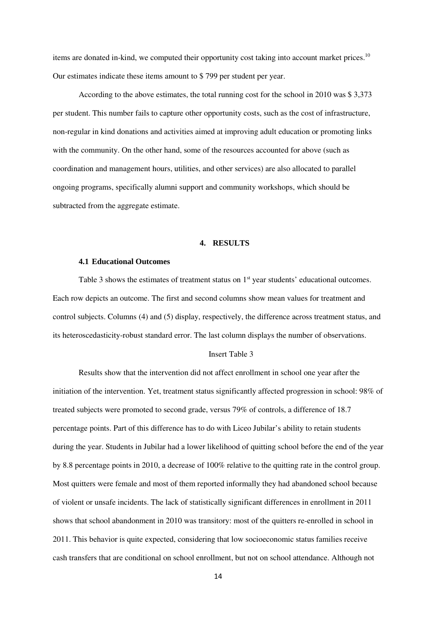items are donated in-kind, we computed their opportunity cost taking into account market prices.<sup>10</sup> Our estimates indicate these items amount to \$ 799 per student per year.

According to the above estimates, the total running cost for the school in 2010 was \$ 3,373 per student. This number fails to capture other opportunity costs, such as the cost of infrastructure, non-regular in kind donations and activities aimed at improving adult education or promoting links with the community. On the other hand, some of the resources accounted for above (such as coordination and management hours, utilities, and other services) are also allocated to parallel ongoing programs, specifically alumni support and community workshops, which should be subtracted from the aggregate estimate.

#### **4. RESULTS**

#### **4.1 Educational Outcomes**

Table 3 shows the estimates of treatment status on 1<sup>st</sup> year students' educational outcomes. Each row depicts an outcome. The first and second columns show mean values for treatment and control subjects. Columns (4) and (5) display, respectively, the difference across treatment status, and its heteroscedasticity-robust standard error. The last column displays the number of observations.

#### Insert Table 3

Results show that the intervention did not affect enrollment in school one year after the initiation of the intervention. Yet, treatment status significantly affected progression in school: 98% of treated subjects were promoted to second grade, versus 79% of controls, a difference of 18.7 percentage points. Part of this difference has to do with Liceo Jubilar's ability to retain students during the year. Students in Jubilar had a lower likelihood of quitting school before the end of the year by 8.8 percentage points in 2010, a decrease of 100% relative to the quitting rate in the control group. Most quitters were female and most of them reported informally they had abandoned school because of violent or unsafe incidents. The lack of statistically significant differences in enrollment in 2011 shows that school abandonment in 2010 was transitory: most of the quitters re-enrolled in school in 2011. This behavior is quite expected, considering that low socioeconomic status families receive cash transfers that are conditional on school enrollment, but not on school attendance. Although not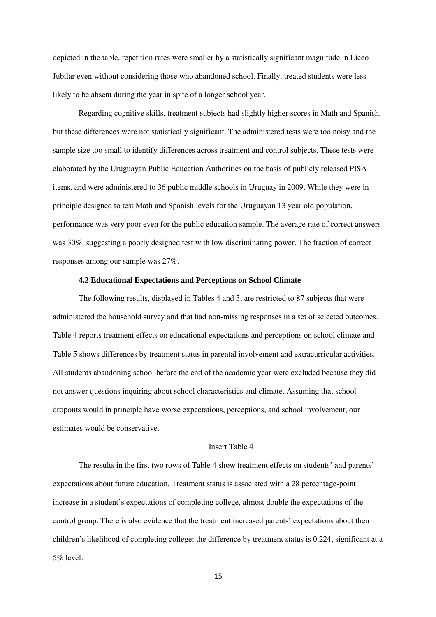depicted in the table, repetition rates were smaller by a statistically significant magnitude in Liceo Jubilar even without considering those who abandoned school. Finally, treated students were less likely to be absent during the year in spite of a longer school year.

Regarding cognitive skills, treatment subjects had slightly higher scores in Math and Spanish, but these differences were not statistically significant. The administered tests were too noisy and the sample size too small to identify differences across treatment and control subjects. These tests were elaborated by the Uruguayan Public Education Authorities on the basis of publicly released PISA items, and were administered to 36 public middle schools in Uruguay in 2009. While they were in principle designed to test Math and Spanish levels for the Uruguayan 13 year old population, performance was very poor even for the public education sample. The average rate of correct answers was 30%, suggesting a poorly designed test with low discriminating power. The fraction of correct responses among our sample was 27%.

#### **4.2 Educational Expectations and Perceptions on School Climate**

The following results, displayed in Tables 4 and 5, are restricted to 87 subjects that were administered the household survey and that had non-missing responses in a set of selected outcomes. Table 4 reports treatment effects on educational expectations and perceptions on school climate and Table 5 shows differences by treatment status in parental involvement and extracurricular activities. All students abandoning school before the end of the academic year were excluded because they did not answer questions inquiring about school characteristics and climate. Assuming that school dropouts would in principle have worse expectations, perceptions, and school involvement, our estimates would be conservative.

# Insert Table 4

The results in the first two rows of Table 4 show treatment effects on students' and parents' expectations about future education. Treatment status is associated with a 28 percentage-point increase in a student's expectations of completing college, almost double the expectations of the control group. There is also evidence that the treatment increased parents' expectations about their children's likelihood of completing college: the difference by treatment status is 0.224, significant at a 5% level.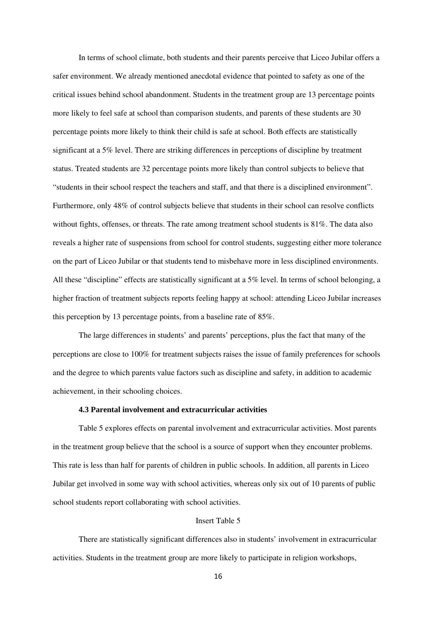In terms of school climate, both students and their parents perceive that Liceo Jubilar offers a safer environment. We already mentioned anecdotal evidence that pointed to safety as one of the critical issues behind school abandonment. Students in the treatment group are 13 percentage points more likely to feel safe at school than comparison students, and parents of these students are 30 percentage points more likely to think their child is safe at school. Both effects are statistically significant at a 5% level. There are striking differences in perceptions of discipline by treatment status. Treated students are 32 percentage points more likely than control subjects to believe that "students in their school respect the teachers and staff, and that there is a disciplined environment". Furthermore, only 48% of control subjects believe that students in their school can resolve conflicts without fights, offenses, or threats. The rate among treatment school students is 81%. The data also reveals a higher rate of suspensions from school for control students, suggesting either more tolerance on the part of Liceo Jubilar or that students tend to misbehave more in less disciplined environments. All these "discipline" effects are statistically significant at a 5% level. In terms of school belonging, a higher fraction of treatment subjects reports feeling happy at school: attending Liceo Jubilar increases this perception by 13 percentage points, from a baseline rate of 85%.

The large differences in students' and parents' perceptions, plus the fact that many of the perceptions are close to 100% for treatment subjects raises the issue of family preferences for schools and the degree to which parents value factors such as discipline and safety, in addition to academic achievement, in their schooling choices.

# **4.3 Parental involvement and extracurricular activities**

Table 5 explores effects on parental involvement and extracurricular activities. Most parents in the treatment group believe that the school is a source of support when they encounter problems. This rate is less than half for parents of children in public schools. In addition, all parents in Liceo Jubilar get involved in some way with school activities, whereas only six out of 10 parents of public school students report collaborating with school activities.

# Insert Table 5

There are statistically significant differences also in students' involvement in extracurricular activities. Students in the treatment group are more likely to participate in religion workshops,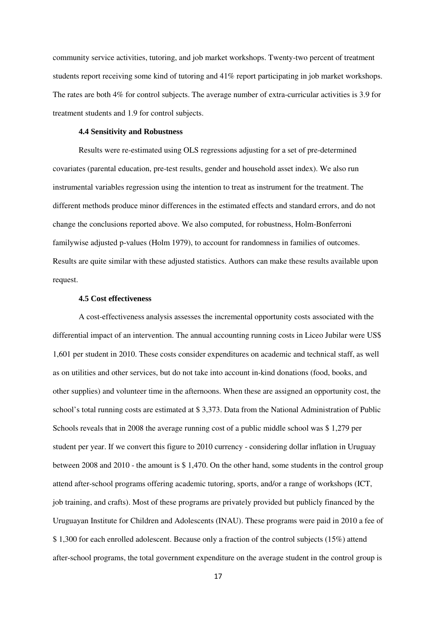community service activities, tutoring, and job market workshops. Twenty-two percent of treatment students report receiving some kind of tutoring and 41% report participating in job market workshops. The rates are both 4% for control subjects. The average number of extra-curricular activities is 3.9 for treatment students and 1.9 for control subjects.

# **4.4 Sensitivity and Robustness**

Results were re-estimated using OLS regressions adjusting for a set of pre-determined covariates (parental education, pre-test results, gender and household asset index). We also run instrumental variables regression using the intention to treat as instrument for the treatment. The different methods produce minor differences in the estimated effects and standard errors, and do not change the conclusions reported above. We also computed, for robustness, Holm-Bonferroni familywise adjusted p-values (Holm 1979), to account for randomness in families of outcomes. Results are quite similar with these adjusted statistics. Authors can make these results available upon request.

#### **4.5 Cost effectiveness**

A cost-effectiveness analysis assesses the incremental opportunity costs associated with the differential impact of an intervention. The annual accounting running costs in Liceo Jubilar were US\$ 1,601 per student in 2010. These costs consider expenditures on academic and technical staff, as well as on utilities and other services, but do not take into account in-kind donations (food, books, and other supplies) and volunteer time in the afternoons. When these are assigned an opportunity cost, the school's total running costs are estimated at \$ 3,373. Data from the National Administration of Public Schools reveals that in 2008 the average running cost of a public middle school was \$ 1,279 per student per year. If we convert this figure to 2010 currency - considering dollar inflation in Uruguay between 2008 and 2010 - the amount is \$ 1,470. On the other hand, some students in the control group attend after-school programs offering academic tutoring, sports, and/or a range of workshops (ICT, job training, and crafts). Most of these programs are privately provided but publicly financed by the Uruguayan Institute for Children and Adolescents (INAU). These programs were paid in 2010 a fee of \$ 1,300 for each enrolled adolescent. Because only a fraction of the control subjects (15%) attend after-school programs, the total government expenditure on the average student in the control group is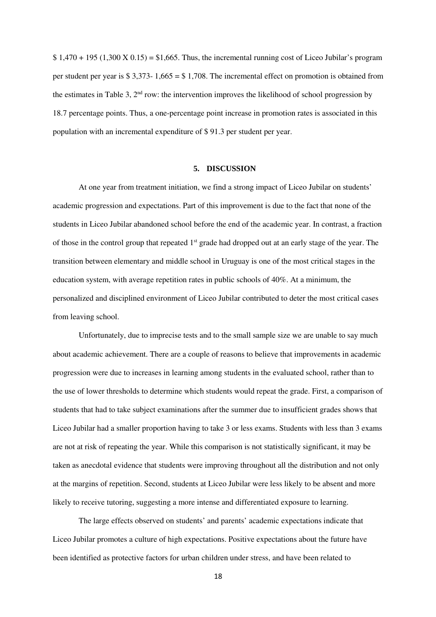$$ 1,470 + 195 (1,300 X 0.15) = $1,665$ . Thus, the incremental running cost of Liceo Jubilar's program per student per year is \$ 3,373- 1,665 = \$ 1,708. The incremental effect on promotion is obtained from the estimates in Table 3,  $2<sup>nd</sup>$  row: the intervention improves the likelihood of school progression by 18.7 percentage points. Thus, a one-percentage point increase in promotion rates is associated in this population with an incremental expenditure of \$ 91.3 per student per year.

#### **5. DISCUSSION**

At one year from treatment initiation, we find a strong impact of Liceo Jubilar on students' academic progression and expectations. Part of this improvement is due to the fact that none of the students in Liceo Jubilar abandoned school before the end of the academic year. In contrast, a fraction of those in the control group that repeated 1st grade had dropped out at an early stage of the year. The transition between elementary and middle school in Uruguay is one of the most critical stages in the education system, with average repetition rates in public schools of 40%. At a minimum, the personalized and disciplined environment of Liceo Jubilar contributed to deter the most critical cases from leaving school.

Unfortunately, due to imprecise tests and to the small sample size we are unable to say much about academic achievement. There are a couple of reasons to believe that improvements in academic progression were due to increases in learning among students in the evaluated school, rather than to the use of lower thresholds to determine which students would repeat the grade. First, a comparison of students that had to take subject examinations after the summer due to insufficient grades shows that Liceo Jubilar had a smaller proportion having to take 3 or less exams. Students with less than 3 exams are not at risk of repeating the year. While this comparison is not statistically significant, it may be taken as anecdotal evidence that students were improving throughout all the distribution and not only at the margins of repetition. Second, students at Liceo Jubilar were less likely to be absent and more likely to receive tutoring, suggesting a more intense and differentiated exposure to learning.

The large effects observed on students' and parents' academic expectations indicate that Liceo Jubilar promotes a culture of high expectations. Positive expectations about the future have been identified as protective factors for urban children under stress, and have been related to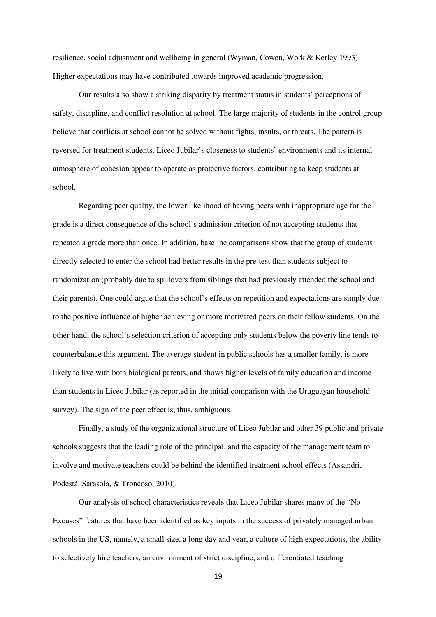resilience, social adjustment and wellbeing in general (Wyman, Cowen, Work & Kerley 1993). Higher expectations may have contributed towards improved academic progression.

Our results also show a striking disparity by treatment status in students' perceptions of safety, discipline, and conflict resolution at school. The large majority of students in the control group believe that conflicts at school cannot be solved without fights, insults, or threats. The pattern is reversed for treatment students. Liceo Jubilar's closeness to students' environments and its internal atmosphere of cohesion appear to operate as protective factors, contributing to keep students at school.

Regarding peer quality, the lower likelihood of having peers with inappropriate age for the grade is a direct consequence of the school's admission criterion of not accepting students that repeated a grade more than once. In addition, baseline comparisons show that the group of students directly selected to enter the school had better results in the pre-test than students subject to randomization (probably due to spillovers from siblings that had previously attended the school and their parents). One could argue that the school's effects on repetition and expectations are simply due to the positive influence of higher achieving or more motivated peers on their fellow students. On the other hand, the school's selection criterion of accepting only students below the poverty line tends to counterbalance this argument. The average student in public schools has a smaller family, is more likely to live with both biological parents, and shows higher levels of family education and income than students in Liceo Jubilar (as reported in the initial comparison with the Uruguayan household survey). The sign of the peer effect is, thus, ambiguous.

Finally, a study of the organizational structure of Liceo Jubilar and other 39 public and private schools suggests that the leading role of the principal, and the capacity of the management team to involve and motivate teachers could be behind the identified treatment school effects (Assandri, Podestá, Sarasola, & Troncoso, 2010).

Our analysis of school characteristics reveals that Liceo Jubilar shares many of the "No Excuses" features that have been identified as key inputs in the success of privately managed urban schools in the US, namely, a small size, a long day and year, a culture of high expectations, the ability to selectively hire teachers, an environment of strict discipline, and differentiated teaching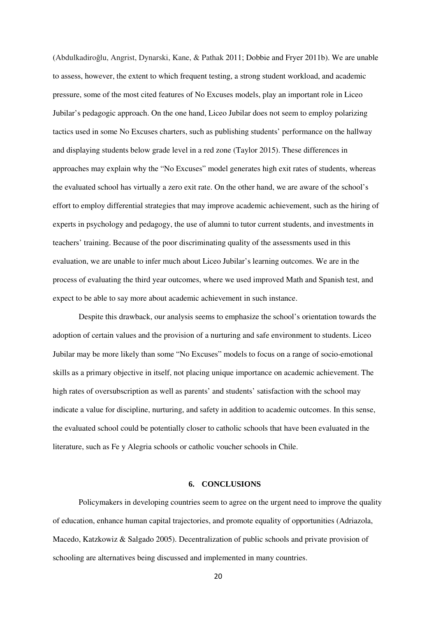(Abdulkadiroğlu, Angrist, Dynarski, Kane, & Pathak 2011; Dobbie and Fryer 2011b). We are unable to assess, however, the extent to which frequent testing, a strong student workload, and academic pressure, some of the most cited features of No Excuses models, play an important role in Liceo Jubilar's pedagogic approach. On the one hand, Liceo Jubilar does not seem to employ polarizing tactics used in some No Excuses charters, such as publishing students' performance on the hallway and displaying students below grade level in a red zone (Taylor 2015). These differences in approaches may explain why the "No Excuses" model generates high exit rates of students, whereas the evaluated school has virtually a zero exit rate. On the other hand, we are aware of the school's effort to employ differential strategies that may improve academic achievement, such as the hiring of experts in psychology and pedagogy, the use of alumni to tutor current students, and investments in teachers' training. Because of the poor discriminating quality of the assessments used in this evaluation, we are unable to infer much about Liceo Jubilar's learning outcomes. We are in the process of evaluating the third year outcomes, where we used improved Math and Spanish test, and expect to be able to say more about academic achievement in such instance.

Despite this drawback, our analysis seems to emphasize the school's orientation towards the adoption of certain values and the provision of a nurturing and safe environment to students. Liceo Jubilar may be more likely than some "No Excuses" models to focus on a range of socio-emotional skills as a primary objective in itself, not placing unique importance on academic achievement. The high rates of oversubscription as well as parents' and students' satisfaction with the school may indicate a value for discipline, nurturing, and safety in addition to academic outcomes. In this sense, the evaluated school could be potentially closer to catholic schools that have been evaluated in the literature, such as Fe y Alegria schools or catholic voucher schools in Chile.

#### **6. CONCLUSIONS**

Policymakers in developing countries seem to agree on the urgent need to improve the quality of education, enhance human capital trajectories, and promote equality of opportunities (Adriazola, Macedo, Katzkowiz & Salgado 2005). Decentralization of public schools and private provision of schooling are alternatives being discussed and implemented in many countries.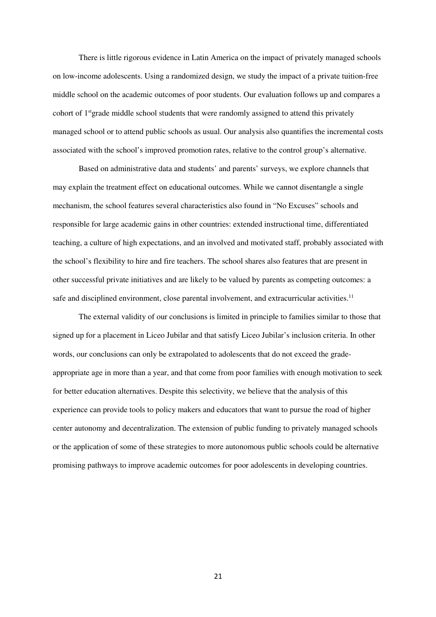There is little rigorous evidence in Latin America on the impact of privately managed schools on low-income adolescents. Using a randomized design, we study the impact of a private tuition-free middle school on the academic outcomes of poor students. Our evaluation follows up and compares a cohort of  $1<sup>st</sup>grade$  middle school students that were randomly assigned to attend this privately managed school or to attend public schools as usual. Our analysis also quantifies the incremental costs associated with the school's improved promotion rates, relative to the control group's alternative.

Based on administrative data and students' and parents' surveys, we explore channels that may explain the treatment effect on educational outcomes. While we cannot disentangle a single mechanism, the school features several characteristics also found in "No Excuses" schools and responsible for large academic gains in other countries: extended instructional time, differentiated teaching, a culture of high expectations, and an involved and motivated staff, probably associated with the school's flexibility to hire and fire teachers. The school shares also features that are present in other successful private initiatives and are likely to be valued by parents as competing outcomes: a safe and disciplined environment, close parental involvement, and extracurricular activities.<sup>11</sup>

The external validity of our conclusions is limited in principle to families similar to those that signed up for a placement in Liceo Jubilar and that satisfy Liceo Jubilar's inclusion criteria. In other words, our conclusions can only be extrapolated to adolescents that do not exceed the gradeappropriate age in more than a year, and that come from poor families with enough motivation to seek for better education alternatives. Despite this selectivity, we believe that the analysis of this experience can provide tools to policy makers and educators that want to pursue the road of higher center autonomy and decentralization. The extension of public funding to privately managed schools or the application of some of these strategies to more autonomous public schools could be alternative promising pathways to improve academic outcomes for poor adolescents in developing countries.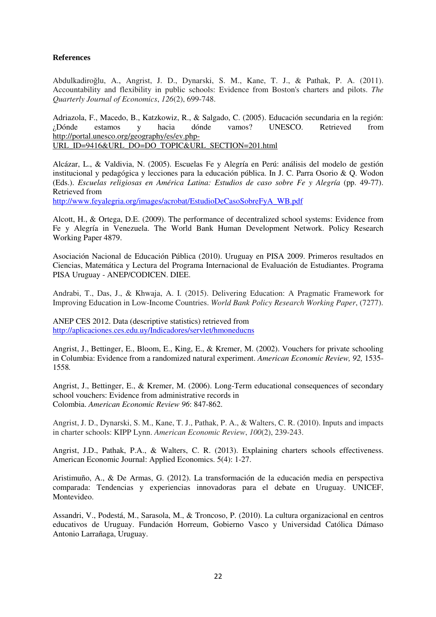# **References**

Abdulkadiroğlu, A., Angrist, J. D., Dynarski, S. M., Kane, T. J., & Pathak, P. A. (2011). Accountability and flexibility in public schools: Evidence from Boston's charters and pilots. *The Quarterly Journal of Economics*, *126*(2), 699-748.

Adriazola, F., Macedo, B., Katzkowiz, R., & Salgado, C. (2005). Educación secundaria en la región: ¿Dónde estamos y hacia dónde vamos? UNESCO. Retrieved from http://portal.unesco.org/geography/es/ev.php-URL\_ID=9416&URL\_DO=DO\_TOPIC&URL\_SECTION=201.html

Alcázar, L., & Valdivia, N. (2005). Escuelas Fe y Alegría en Perú: análisis del modelo de gestión institucional y pedagógica y lecciones para la educación pública. In J. C. Parra Osorio & Q. Wodon (Eds.). *Escuelas religiosas en América Latina: Estudios de caso sobre Fe y Alegría* (pp. 49-77). Retrieved from

http://www.feyalegria.org/images/acrobat/EstudioDeCasoSobreFyA\_WB.pdf

Alcott, H., & Ortega, D.E. (2009). The performance of decentralized school systems: Evidence from Fe y Alegría in Venezuela. The World Bank Human Development Network. Policy Research Working Paper 4879.

Asociación Nacional de Educación Pública (2010). Uruguay en PISA 2009. Primeros resultados en Ciencias, Matemática y Lectura del Programa Internacional de Evaluación de Estudiantes. Programa PISA Uruguay - ANEP/CODICEN. DIEE.

Andrabi, T., Das, J., & Khwaja, A. I. (2015). Delivering Education: A Pragmatic Framework for Improving Education in Low-Income Countries. *World Bank Policy Research Working Paper*, (7277).

ANEP CES 2012. Data (descriptive statistics) retrieved from http://aplicaciones.ces.edu.uy/Indicadores/servlet/hmoneducns

Angrist, J., Bettinger, E., Bloom, E., King, E., & Kremer, M. (2002). Vouchers for private schooling in Columbia: Evidence from a randomized natural experiment. *American Economic Review, 92,* 1535- 1558*.*

Angrist, J., Bettinger, E., & Kremer, M. (2006). Long-Term educational consequences of secondary school vouchers: Evidence from administrative records in Colombia. *American Economic Review 96*: 847-862.

Angrist, J. D., Dynarski, S. M., Kane, T. J., Pathak, P. A., & Walters, C. R. (2010). Inputs and impacts in charter schools: KIPP Lynn. *American Economic Review*, *100*(2), 239-243.

Angrist, J.D., Pathak, P.A., & Walters, C. R. (2013). Explaining charters schools effectiveness. American Economic Journal: Applied Economics. 5(4): 1-27.

Aristimuño, A., & De Armas, G. (2012). La transformación de la educación media en perspectiva comparada: Tendencias y experiencias innovadoras para el debate en Uruguay. UNICEF, Montevideo.

Assandri, V., Podestá, M., Sarasola, M., & Troncoso, P. (2010). La cultura organizacional en centros educativos de Uruguay. Fundación Horreum, Gobierno Vasco y Universidad Católica Dámaso Antonio Larrañaga, Uruguay.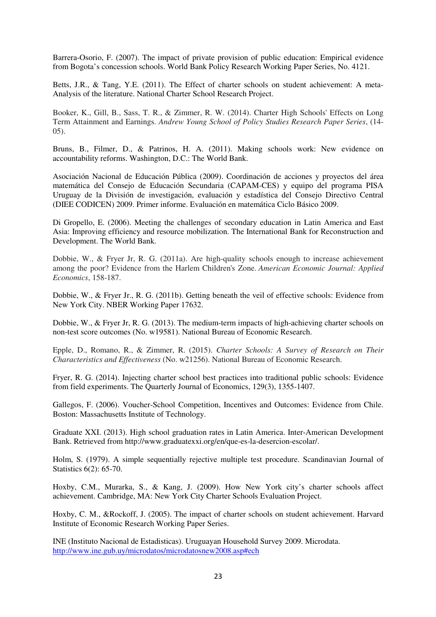Barrera-Osorio, F. (2007). The impact of private provision of public education: Empirical evidence from Bogota's concession schools. World Bank Policy Research Working Paper Series, No. 4121.

Betts, J.R., & Tang, Y.E. (2011). The Effect of charter schools on student achievement: A meta-Analysis of the literature. National Charter School Research Project.

Booker, K., Gill, B., Sass, T. R., & Zimmer, R. W. (2014). Charter High Schools' Effects on Long Term Attainment and Earnings. *Andrew Young School of Policy Studies Research Paper Series*, (14- 05).

Bruns, B., Filmer, D., & Patrinos, H. A. (2011). Making schools work: New evidence on accountability reforms. Washington, D.C.: The World Bank.

Asociación Nacional de Educación Pública (2009). Coordinación de acciones y proyectos del área matemática del Consejo de Educación Secundaria (CAPAM-CES) y equipo del programa PISA Uruguay de la División de investigación, evaluación y estadística del Consejo Directivo Central (DIEE CODICEN) 2009. Primer informe. Evaluación en matemática Ciclo Básico 2009.

Di Gropello, E. (2006). Meeting the challenges of secondary education in Latin America and East Asia: Improving efficiency and resource mobilization. The International Bank for Reconstruction and Development. The World Bank.

Dobbie, W., & Fryer Jr, R. G. (2011a). Are high-quality schools enough to increase achievement among the poor? Evidence from the Harlem Children's Zone. *American Economic Journal: Applied Economics*, 158-187.

Dobbie, W., & Fryer Jr., R. G. (2011b). Getting beneath the veil of effective schools: Evidence from New York City. NBER Working Paper 17632.

Dobbie, W., & Fryer Jr, R. G. (2013). The medium-term impacts of high-achieving charter schools on non-test score outcomes (No. w19581). National Bureau of Economic Research.

Epple, D., Romano, R., & Zimmer, R. (2015). *Charter Schools: A Survey of Research on Their Characteristics and Effectiveness* (No. w21256). National Bureau of Economic Research.

Fryer, R. G. (2014). Injecting charter school best practices into traditional public schools: Evidence from field experiments. The Quarterly Journal of Economics, 129(3), 1355-1407.

Gallegos, F. (2006). Voucher-School Competition, Incentives and Outcomes: Evidence from Chile. Boston: Massachusetts Institute of Technology.

Graduate XXI. (2013). High school graduation rates in Latin America. Inter-American Development Bank. Retrieved from http://www.graduatexxi.org/en/que-es-la-desercion-escolar/.

Holm, S. (1979). A simple sequentially rejective multiple test procedure. Scandinavian Journal of Statistics 6(2): 65-70.

Hoxby, C.M., Murarka, S., & Kang, J. (2009). How New York city's charter schools affect achievement. Cambridge, MA: New York City Charter Schools Evaluation Project.

Hoxby, C. M., &Rockoff, J. (2005). The impact of charter schools on student achievement. Harvard Institute of Economic Research Working Paper Series.

INE (Instituto Nacional de Estadisticas). Uruguayan Household Survey 2009. Microdata. http://www.ine.gub.uy/microdatos/microdatosnew2008.asp#ech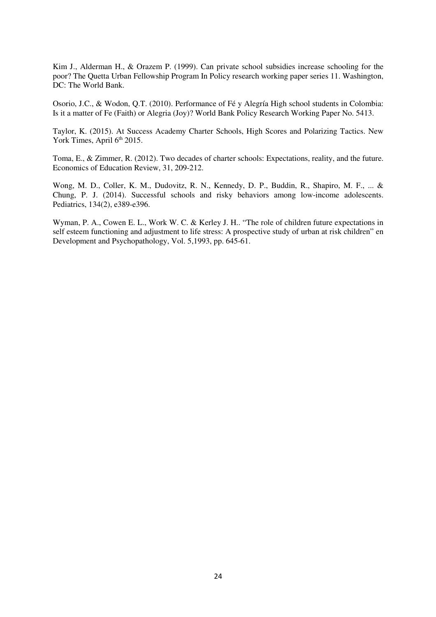Kim J., Alderman H., & Orazem P. (1999). Can private school subsidies increase schooling for the poor? The Quetta Urban Fellowship Program In Policy research working paper series 11. Washington, DC: The World Bank.

Osorio, J.C., & Wodon, Q.T. (2010). Performance of Fé y Alegría High school students in Colombia: Is it a matter of Fe (Faith) or Alegria (Joy)? World Bank Policy Research Working Paper No. 5413.

Taylor, K. (2015). At Success Academy Charter Schools, High Scores and Polarizing Tactics. New York Times, April 6th 2015.

Toma, E., & Zimmer, R. (2012). Two decades of charter schools: Expectations, reality, and the future. Economics of Education Review, 31, 209-212.

Wong, M. D., Coller, K. M., Dudovitz, R. N., Kennedy, D. P., Buddin, R., Shapiro, M. F., ... & Chung, P. J. (2014). Successful schools and risky behaviors among low-income adolescents. Pediatrics, 134(2), e389-e396.

Wyman, P. A., Cowen E. L., Work W. C. & Kerley J. H.. "The role of children future expectations in self esteem functioning and adjustment to life stress: A prospective study of urban at risk children" en Development and Psychopathology, Vol. 5,1993, pp. 645-61.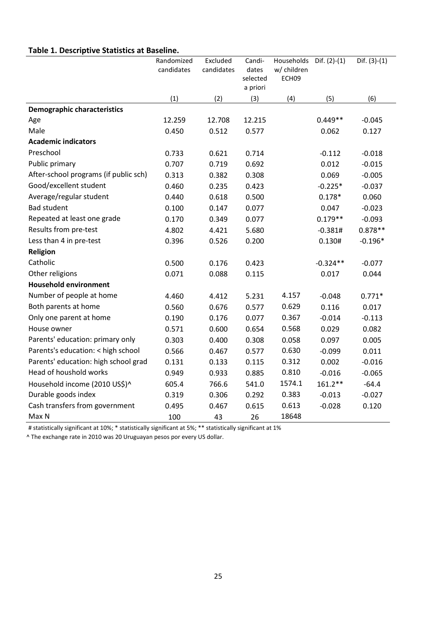# **Table 1. Descriptive Statistics at Baseline.**

|                                       | Randomized<br>candidates | Excluded<br>candidates | Candi-<br>dates<br>selected | Households<br>w/ children<br>ECH09 | Dif. $(2)-(1)$ | Dif. $(3)-(1)$ |
|---------------------------------------|--------------------------|------------------------|-----------------------------|------------------------------------|----------------|----------------|
|                                       |                          |                        | a priori                    |                                    |                |                |
|                                       | (1)                      | (2)                    | (3)                         | (4)                                | (5)            | (6)            |
| <b>Demographic characteristics</b>    |                          |                        |                             |                                    |                |                |
| Age                                   | 12.259                   | 12.708                 | 12.215                      |                                    | $0.449**$      | $-0.045$       |
| Male                                  | 0.450                    | 0.512                  | 0.577                       |                                    | 0.062          | 0.127          |
| <b>Academic indicators</b>            |                          |                        |                             |                                    |                |                |
| Preschool                             | 0.733                    | 0.621                  | 0.714                       |                                    | $-0.112$       | $-0.018$       |
| Public primary                        | 0.707                    | 0.719                  | 0.692                       |                                    | 0.012          | $-0.015$       |
| After-school programs (if public sch) | 0.313                    | 0.382                  | 0.308                       |                                    | 0.069          | $-0.005$       |
| Good/excellent student                | 0.460                    | 0.235                  | 0.423                       |                                    | $-0.225*$      | $-0.037$       |
| Average/regular student               | 0.440                    | 0.618                  | 0.500                       |                                    | $0.178*$       | 0.060          |
| <b>Bad student</b>                    | 0.100                    | 0.147                  | 0.077                       |                                    | 0.047          | $-0.023$       |
| Repeated at least one grade           | 0.170                    | 0.349                  | 0.077                       |                                    | $0.179**$      | $-0.093$       |
| Results from pre-test                 | 4.802                    | 4.421                  | 5.680                       |                                    | $-0.381#$      | $0.878**$      |
| Less than 4 in pre-test               | 0.396                    | 0.526                  | 0.200                       |                                    | 0.130#         | $-0.196*$      |
| <b>Religion</b>                       |                          |                        |                             |                                    |                |                |
| Catholic                              | 0.500                    | 0.176                  | 0.423                       |                                    | $-0.324**$     | $-0.077$       |
| Other religions                       | 0.071                    | 0.088                  | 0.115                       |                                    | 0.017          | 0.044          |
| <b>Household environment</b>          |                          |                        |                             |                                    |                |                |
| Number of people at home              | 4.460                    | 4.412                  | 5.231                       | 4.157                              | $-0.048$       | $0.771*$       |
| Both parents at home                  | 0.560                    | 0.676                  | 0.577                       | 0.629                              | 0.116          | 0.017          |
| Only one parent at home               | 0.190                    | 0.176                  | 0.077                       | 0.367                              | $-0.014$       | $-0.113$       |
| House owner                           | 0.571                    | 0.600                  | 0.654                       | 0.568                              | 0.029          | 0.082          |
| Parents' education: primary only      | 0.303                    | 0.400                  | 0.308                       | 0.058                              | 0.097          | 0.005          |
| Parents's education: < high school    | 0.566                    | 0.467                  | 0.577                       | 0.630                              | $-0.099$       | 0.011          |
| Parents' education: high school grad  | 0.131                    | 0.133                  | 0.115                       | 0.312                              | 0.002          | $-0.016$       |
| Head of houshold works                | 0.949                    | 0.933                  | 0.885                       | 0.810                              | $-0.016$       | $-0.065$       |
| Household income (2010 US\$)^         | 605.4                    | 766.6                  | 541.0                       | 1574.1                             | $161.2**$      | $-64.4$        |
| Durable goods index                   | 0.319                    | 0.306                  | 0.292                       | 0.383                              | $-0.013$       | $-0.027$       |
| Cash transfers from government        | 0.495                    | 0.467                  | 0.615                       | 0.613                              | $-0.028$       | 0.120          |
| Max N                                 | 100                      | 43                     | 26                          | 18648                              |                |                |

# statistically significant at 10%; \* statistically significant at 5%; \*\* statistically significant at 1%

^ The exchange rate in 2010 was 20 Uruguayan pesos por every US dollar.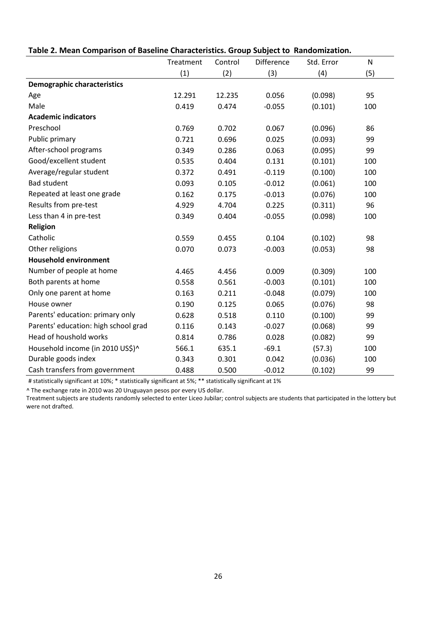|  |  | Table 2. Mean Comparison of Baseline Characteristics. Group Subject to Randomization. |  |
|--|--|---------------------------------------------------------------------------------------|--|
|  |  |                                                                                       |  |

|                                      | Treatment | Control | <b>Difference</b> | Std. Error | $\mathsf{N}$ |
|--------------------------------------|-----------|---------|-------------------|------------|--------------|
|                                      | (1)       | (2)     | (3)               | (4)        | (5)          |
| <b>Demographic characteristics</b>   |           |         |                   |            |              |
| Age                                  | 12.291    | 12.235  | 0.056             | (0.098)    | 95           |
| Male                                 | 0.419     | 0.474   | $-0.055$          | (0.101)    | 100          |
| <b>Academic indicators</b>           |           |         |                   |            |              |
| Preschool                            | 0.769     | 0.702   | 0.067             | (0.096)    | 86           |
| Public primary                       | 0.721     | 0.696   | 0.025             | (0.093)    | 99           |
| After-school programs                | 0.349     | 0.286   | 0.063             | (0.095)    | 99           |
| Good/excellent student               | 0.535     | 0.404   | 0.131             | (0.101)    | 100          |
| Average/regular student              | 0.372     | 0.491   | $-0.119$          | (0.100)    | 100          |
| <b>Bad student</b>                   | 0.093     | 0.105   | $-0.012$          | (0.061)    | 100          |
| Repeated at least one grade          | 0.162     | 0.175   | $-0.013$          | (0.076)    | 100          |
| Results from pre-test                | 4.929     | 4.704   | 0.225             | (0.311)    | 96           |
| Less than 4 in pre-test              | 0.349     | 0.404   | $-0.055$          | (0.098)    | 100          |
| <b>Religion</b>                      |           |         |                   |            |              |
| Catholic                             | 0.559     | 0.455   | 0.104             | (0.102)    | 98           |
| Other religions                      | 0.070     | 0.073   | $-0.003$          | (0.053)    | 98           |
| <b>Household environment</b>         |           |         |                   |            |              |
| Number of people at home             | 4.465     | 4.456   | 0.009             | (0.309)    | 100          |
| Both parents at home                 | 0.558     | 0.561   | $-0.003$          | (0.101)    | 100          |
| Only one parent at home              | 0.163     | 0.211   | $-0.048$          | (0.079)    | 100          |
| House owner                          | 0.190     | 0.125   | 0.065             | (0.076)    | 98           |
| Parents' education: primary only     | 0.628     | 0.518   | 0.110             | (0.100)    | 99           |
| Parents' education: high school grad | 0.116     | 0.143   | $-0.027$          | (0.068)    | 99           |
| Head of houshold works               | 0.814     | 0.786   | 0.028             | (0.082)    | 99           |
| Household income (in 2010 US\$)^     | 566.1     | 635.1   | $-69.1$           | (57.3)     | 100          |
| Durable goods index                  | 0.343     | 0.301   | 0.042             | (0.036)    | 100          |
| Cash transfers from government       | 0.488     | 0.500   | $-0.012$          | (0.102)    | 99           |

# statistically significant at 10%; \* statistically significant at 5%; \*\* statistically significant at 1%

^ The exchange rate in 2010 was 20 Uruguayan pesos por every US dollar.

Treatment subjects are students randomly selected to enter Liceo Jubilar; control subjects are students that participated in the lottery but were not drafted.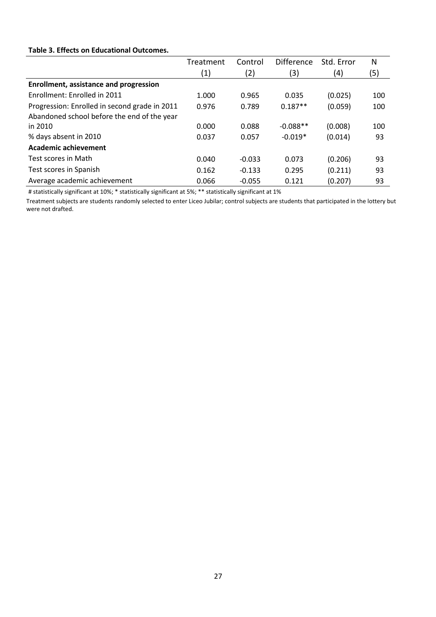# **Table 3. Effects on Educational Outcomes.**

|                                               | Treatment | Control  | <b>Difference</b> | Std. Error | N   |
|-----------------------------------------------|-----------|----------|-------------------|------------|-----|
|                                               | (1)       | (2)      | (3)               | (4)        | (5) |
| <b>Enrollment, assistance and progression</b> |           |          |                   |            |     |
| Fritollment: Fritolled in 2011                | 1.000     | 0.965    | 0.035             | (0.025)    | 100 |
| Progression: Enrolled in second grade in 2011 | 0.976     | 0.789    | $0.187**$         | (0.059)    | 100 |
| Abandoned school before the end of the year   |           |          |                   |            |     |
| in 2010                                       | 0.000     | 0.088    | $-0.088**$        | (0.008)    | 100 |
| % days absent in 2010                         | 0.037     | 0.057    | $-0.019*$         | (0.014)    | 93  |
| <b>Academic achievement</b>                   |           |          |                   |            |     |
| Test scores in Math                           | 0.040     | $-0.033$ | 0.073             | (0.206)    | 93  |
| Test scores in Spanish                        | 0.162     | $-0.133$ | 0.295             | (0.211)    | 93  |
| Average academic achievement                  | 0.066     | $-0.055$ | 0.121             | (0.207)    | 93  |

# statistically significant at 10%; \* statistically significant at 5%; \*\* statistically significant at 1%

Treatment subjects are students randomly selected to enter Liceo Jubilar; control subjects are students that participated in the lottery but were not drafted.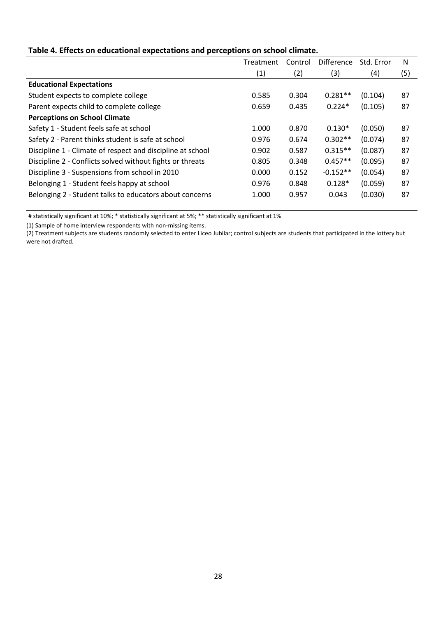# **Table 4. Effects on educational expectations and perceptions on school climate.**

|                                                            | Treatment | Control | <b>Difference</b> | Std. Frror | N   |
|------------------------------------------------------------|-----------|---------|-------------------|------------|-----|
|                                                            | (1)       | (2)     | (3)               | (4)        | (5) |
| <b>Educational Expectations</b>                            |           |         |                   |            |     |
| Student expects to complete college                        | 0.585     | 0.304   | $0.281**$         | (0.104)    | 87  |
| Parent expects child to complete college                   | 0.659     | 0.435   | $0.224*$          | (0.105)    | 87  |
| <b>Perceptions on School Climate</b>                       |           |         |                   |            |     |
| Safety 1 - Student feels safe at school                    | 1.000     | 0.870   | $0.130*$          | (0.050)    | 87  |
| Safety 2 - Parent thinks student is safe at school         | 0.976     | 0.674   | $0.302**$         | (0.074)    | 87  |
| Discipline 1 - Climate of respect and discipline at school | 0.902     | 0.587   | $0.315**$         | (0.087)    | 87  |
| Discipline 2 - Conflicts solved without fights or threats  | 0.805     | 0.348   | $0.457**$         | (0.095)    | 87  |
| Discipline 3 - Suspensions from school in 2010             | 0.000     | 0.152   | $-0.152**$        | (0.054)    | 87  |
| Belonging 1 - Student feels happy at school                | 0.976     | 0.848   | $0.128*$          | (0.059)    | 87  |
| Belonging 2 - Student talks to educators about concerns    | 1.000     | 0.957   | 0.043             | (0.030)    | 87  |

# statistically significant at 10%; \* statistically significant at 5%; \*\* statistically significant at 1%

(1) Sample of home interview respondents with non-missing ítems.

(2) Treatment subjects are students randomly selected to enter Liceo Jubilar; control subjects are students that participated in the lottery but were not drafted.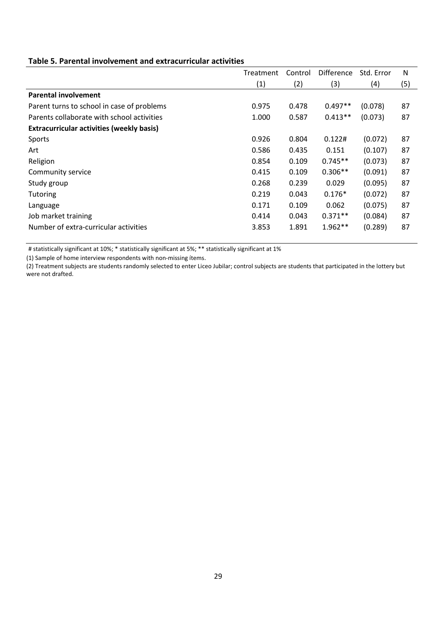# **Table 5. Parental involvement and extracurricular activities**

|                                                  | Treatment | Control | <b>Difference</b> | Std. Error | N   |
|--------------------------------------------------|-----------|---------|-------------------|------------|-----|
|                                                  | (1)       | (2)     | (3)               | (4)        | (5) |
| <b>Parental involvement</b>                      |           |         |                   |            |     |
| Parent turns to school in case of problems       | 0.975     | 0.478   | $0.497**$         | (0.078)    | 87  |
| Parents collaborate with school activities       | 1.000     | 0.587   | $0.413**$         | (0.073)    | 87  |
| <b>Extracurricular activities (weekly basis)</b> |           |         |                   |            |     |
| Sports                                           | 0.926     | 0.804   | 0.122#            | (0.072)    | 87  |
| Art                                              | 0.586     | 0.435   | 0.151             | (0.107)    | 87  |
| Religion                                         | 0.854     | 0.109   | $0.745**$         | (0.073)    | 87  |
| Community service                                | 0.415     | 0.109   | $0.306**$         | (0.091)    | 87  |
| Study group                                      | 0.268     | 0.239   | 0.029             | (0.095)    | 87  |
| Tutoring                                         | 0.219     | 0.043   | $0.176*$          | (0.072)    | 87  |
| Language                                         | 0.171     | 0.109   | 0.062             | (0.075)    | 87  |
| Job market training                              | 0.414     | 0.043   | $0.371**$         | (0.084)    | 87  |
| Number of extra-curricular activities            | 3.853     | 1.891   | $1.962**$         | (0.289)    | 87  |

# statistically significant at 10%; \* statistically significant at 5%; \*\* statistically significant at 1%

(1) Sample of home interview respondents with non-missing ítems.

(2) Treatment subjects are students randomly selected to enter Liceo Jubilar; control subjects are students that participated in the lottery but were not drafted.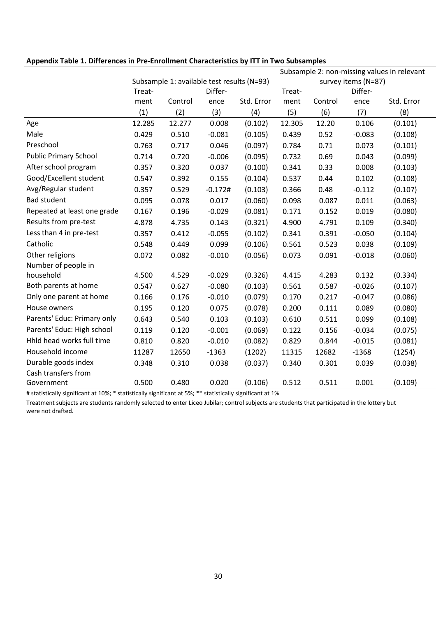|                              | Subsample 2: non-missing values in relevant |         |           |            |                     |         |          |            |
|------------------------------|---------------------------------------------|---------|-----------|------------|---------------------|---------|----------|------------|
|                              | Subsample 1: available test results (N=93)  |         |           |            | survey items (N=87) |         |          |            |
|                              | Treat-                                      |         | Differ-   |            | Treat-              |         | Differ-  |            |
|                              | ment                                        | Control | ence      | Std. Error | ment                | Control | ence     | Std. Error |
|                              | (1)                                         | (2)     | (3)       | (4)        | (5)                 | (6)     | (7)      | (8)        |
| Age                          | 12.285                                      | 12.277  | 0.008     | (0.102)    | 12.305              | 12.20   | 0.106    | (0.101)    |
| Male                         | 0.429                                       | 0.510   | $-0.081$  | (0.105)    | 0.439               | 0.52    | $-0.083$ | (0.108)    |
| Preschool                    | 0.763                                       | 0.717   | 0.046     | (0.097)    | 0.784               | 0.71    | 0.073    | (0.101)    |
| <b>Public Primary School</b> | 0.714                                       | 0.720   | $-0.006$  | (0.095)    | 0.732               | 0.69    | 0.043    | (0.099)    |
| After school program         | 0.357                                       | 0.320   | 0.037     | (0.100)    | 0.341               | 0.33    | 0.008    | (0.103)    |
| Good/Excellent student       | 0.547                                       | 0.392   | 0.155     | (0.104)    | 0.537               | 0.44    | 0.102    | (0.108)    |
| Avg/Regular student          | 0.357                                       | 0.529   | $-0.172#$ | (0.103)    | 0.366               | 0.48    | $-0.112$ | (0.107)    |
| <b>Bad student</b>           | 0.095                                       | 0.078   | 0.017     | (0.060)    | 0.098               | 0.087   | 0.011    | (0.063)    |
| Repeated at least one grade  | 0.167                                       | 0.196   | $-0.029$  | (0.081)    | 0.171               | 0.152   | 0.019    | (0.080)    |
| Results from pre-test        | 4.878                                       | 4.735   | 0.143     | (0.321)    | 4.900               | 4.791   | 0.109    | (0.340)    |
| Less than 4 in pre-test      | 0.357                                       | 0.412   | $-0.055$  | (0.102)    | 0.341               | 0.391   | $-0.050$ | (0.104)    |
| Catholic                     | 0.548                                       | 0.449   | 0.099     | (0.106)    | 0.561               | 0.523   | 0.038    | (0.109)    |
| Other religions              | 0.072                                       | 0.082   | $-0.010$  | (0.056)    | 0.073               | 0.091   | $-0.018$ | (0.060)    |
| Number of people in          |                                             |         |           |            |                     |         |          |            |
| household                    | 4.500                                       | 4.529   | $-0.029$  | (0.326)    | 4.415               | 4.283   | 0.132    | (0.334)    |
| Both parents at home         | 0.547                                       | 0.627   | $-0.080$  | (0.103)    | 0.561               | 0.587   | $-0.026$ | (0.107)    |
| Only one parent at home      | 0.166                                       | 0.176   | $-0.010$  | (0.079)    | 0.170               | 0.217   | $-0.047$ | (0.086)    |
| House owners                 | 0.195                                       | 0.120   | 0.075     | (0.078)    | 0.200               | 0.111   | 0.089    | (0.080)    |
| Parents' Educ: Primary only  | 0.643                                       | 0.540   | 0.103     | (0.103)    | 0.610               | 0.511   | 0.099    | (0.108)    |
| Parents' Educ: High school   | 0.119                                       | 0.120   | $-0.001$  | (0.069)    | 0.122               | 0.156   | $-0.034$ | (0.075)    |
| Hhld head works full time    | 0.810                                       | 0.820   | $-0.010$  | (0.082)    | 0.829               | 0.844   | $-0.015$ | (0.081)    |
| Household income             | 11287                                       | 12650   | $-1363$   | (1202)     | 11315               | 12682   | $-1368$  | (1254)     |
| Durable goods index          | 0.348                                       | 0.310   | 0.038     | (0.037)    | 0.340               | 0.301   | 0.039    | (0.038)    |
| Cash transfers from          |                                             |         |           |            |                     |         |          |            |
| Government                   | 0.500                                       | 0.480   | 0.020     | (0.106)    | 0.512               | 0.511   | 0.001    | (0.109)    |

# **Appendix Table 1. Differences in Pre-Enrollment Characteristics by ITT in Two Subsamples**

# statistically significant at 10%; \* statistically significant at 5%; \*\* statistically significant at 1%

Treatment subjects are students randomly selected to enter Liceo Jubilar; control subjects are students that participated in the lottery but were not drafted.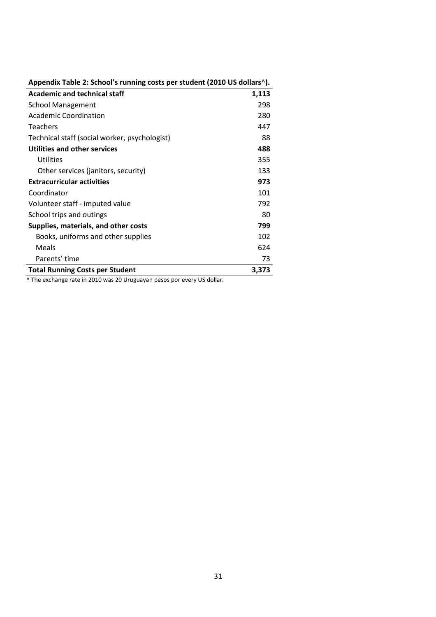| Appendix Table 2: School's running costs per student (2010 US dollars^). |       |  |  |  |
|--------------------------------------------------------------------------|-------|--|--|--|
| <b>Academic and technical staff</b>                                      | 1,113 |  |  |  |
| <b>School Management</b>                                                 | 298   |  |  |  |
| Academic Coordination                                                    | 280   |  |  |  |
| <b>Teachers</b>                                                          | 447   |  |  |  |
| Technical staff (social worker, psychologist)                            | 88    |  |  |  |
| Utilities and other services                                             | 488   |  |  |  |
| Utilities                                                                | 355   |  |  |  |
| Other services (janitors, security)                                      | 133   |  |  |  |
| <b>Extracurricular activities</b>                                        | 973   |  |  |  |
| Coordinator                                                              | 101   |  |  |  |
| Volunteer staff - imputed value                                          | 792   |  |  |  |
| School trips and outings                                                 | 80    |  |  |  |
| Supplies, materials, and other costs                                     | 799   |  |  |  |
| Books, uniforms and other supplies                                       | 102   |  |  |  |
| Meals                                                                    | 624   |  |  |  |
| Parents' time                                                            | 73    |  |  |  |
| <b>Total Running Costs per Student</b>                                   | 3,373 |  |  |  |

^ The exchange rate in 2010 was 20 Uruguayan pesos por every US dollar.